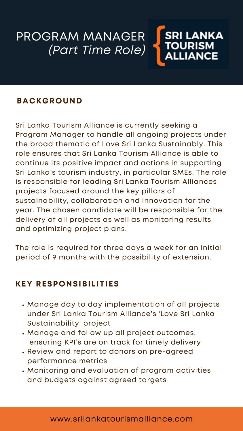Sri Lanka Tourism Alliance is currently seeking a Program Manager to handle all ongoing projects under the broad thematic of Love Sri Lanka Sustainably. This role ensures that Sri Lanka Tourism Alliance is able to continue its positive impact and actions in supporting Sri Lanka's tourism industry, in particular SMEs. The role is responsible for leading Sri Lanka Tourism Alliances projects focused around the key pillars of sustainability, collaboration and innovation for the year. The chosen candidate will be responsible for the delivery of all projects as well as monitoring results and optimizing project plans.

#### PROGRAM MANAGER SRI LANKA TOURISM *(Part Time Role)* **ALLIANCE**

### **BACKGROUND**

The role is required for three days a week for an initial period of 9 months with the possibility of extension.

### www.srilankatourismalliance.com

- Manage day to day implementation of all projects under Sri Lanka Tourism Alliance's 'Love Sri Lanka Sustainability' project
- Manage and follow up all project outcomes, ensuring KPI's are on track for timely delivery
- Review and report to donors on pre-agreed performance metrics
- Monitoring and evaluation of program activities and budgets against agreed targets

### **KEY RESPONSIBILITIES**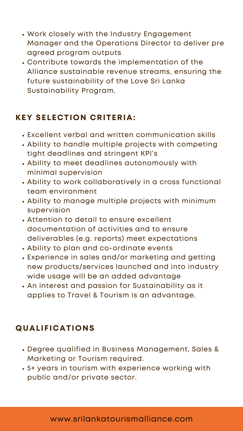### **KEY SELECTION CRITERIA:**

- Excellent verbal and written communication skills
- Ability to handle multiple projects with competing tight deadlines and stringent KPI's
- Ability to meet deadlines autonomously with minimal supervision
- Ability to work collaboratively in a cross functional team environment
- Ability to manage multiple projects with minimum supervision
- Attention to detail to ensure excellent documentation of activities and to ensure deliverables (e.g. reports) meet expectations
- Ability to plan and co-ordinate events
- Experience in sales and/or marketing and getting new products/services launched and into industry wide usage will be an added advantage
- An interest and passion for Sustainability as it applies to Travel & Tourism is an advantage.

www.srilankatourismalliance.com

### **QUALIFICATIONS**

- Degree qualified in Business Management, Sales & Marketing or Tourism required.
- 5+ years in tourism with experience working with public and/or private sector.
- Work closely with the Industry Engagement Manager and the Operations Director to deliver pre agreed program outputs
- Contribute towards the implementation of the Alliance sustainable revenue streams, ensuring the future sustainability of the Love Sri Lanka Sustainability Program.